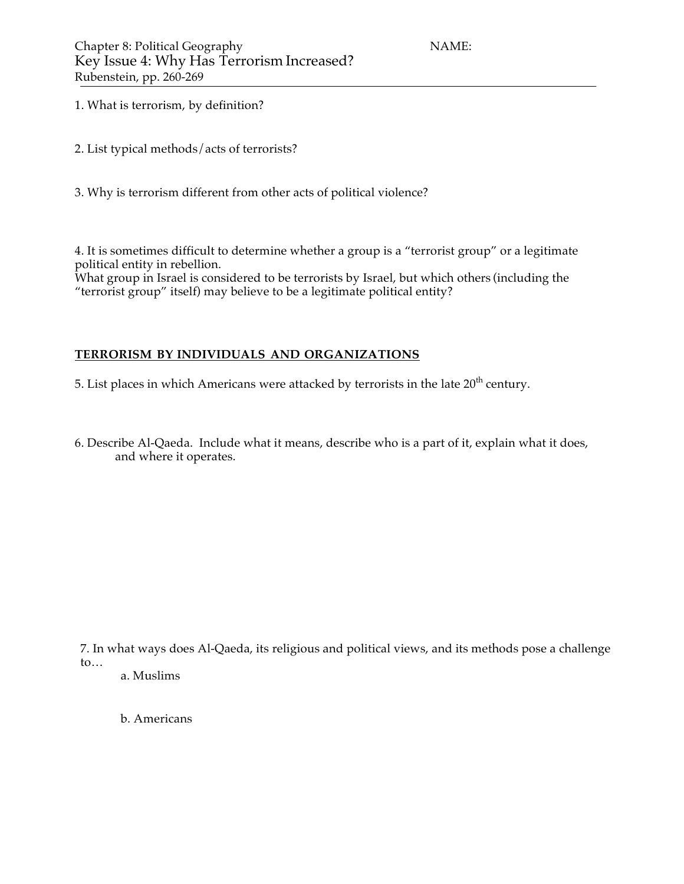- 1. What is terrorism, by definition?
- 2. List typical methods/acts of terrorists?
- 3. Why is terrorism different from other acts of political violence?

4. It is sometimes difficult to determine whether a group is a "terrorist group" or a legitimate political entity in rebellion.

What group in Israel is considered to be terrorists by Israel, but which others (including the "terrorist group" itself) may believe to be a legitimate political entity?

## **TERRORISM BY INDIVIDUALS AND ORGANIZATIONS**

5. List places in which Americans were attacked by terrorists in the late  $20^{th}$  century.

6. Describe Al-Qaeda. Include what it means, describe who is a part of it, explain what it does, and where it operates.

7. In what ways does Al-Qaeda, its religious and political views, and its methods pose a challenge to… a. Muslims

b. Americans